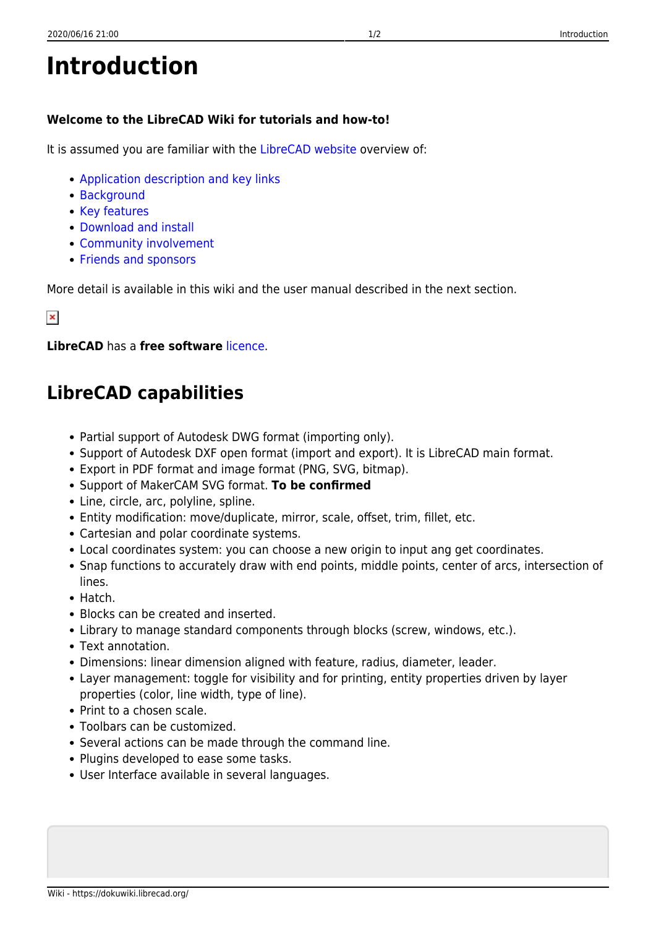## **Introduction**

## **Welcome to the LibreCAD Wiki for tutorials and how-to!**

It is assumed you are familiar with the [LibreCAD website](https://librecad.org) overview of:

- [Application description and key links](https://librecad.org/#home)
- [Background](https://librecad.org/#about)
- [Key features](https://librecad.org/#features)
- [Download and install](https://librecad.org/#download)
- [Community involvement](https://librecad.org/#joinus)
- [Friends and sponsors](https://librecad.org/#sponsors)

More detail is available in this wiki and the user manual described in the next section.

## $\pmb{\times}$

**LibreCAD** has a **free software** [licence](https://github.com/LibreCAD/LibreCAD/blob/master/LICENSE).

## **LibreCAD capabilities**

- Partial support of Autodesk DWG format (importing only).
- Support of Autodesk DXF open format (import and export). It is LibreCAD main format.
- Export in PDF format and image format (PNG, SVG, bitmap).
- Support of MakerCAM SVG format. **To be confirmed**
- Line, circle, arc, polyline, spline.
- Entity modification: move/duplicate, mirror, scale, offset, trim, fillet, etc.
- Cartesian and polar coordinate systems.
- Local coordinates system: you can choose a new origin to input ang get coordinates.
- Snap functions to accurately draw with end points, middle points, center of arcs, intersection of lines.
- Hatch.
- Blocks can be created and inserted.
- Library to manage standard components through blocks (screw, windows, etc.).
- Text annotation.
- Dimensions: linear dimension aligned with feature, radius, diameter, leader.
- Layer management: toggle for visibility and for printing, entity properties driven by layer properties (color, line width, type of line).
- Print to a chosen scale.
- Toolbars can be customized.
- Several actions can be made through the command line.
- Plugins developed to ease some tasks.
- User Interface available in several languages.